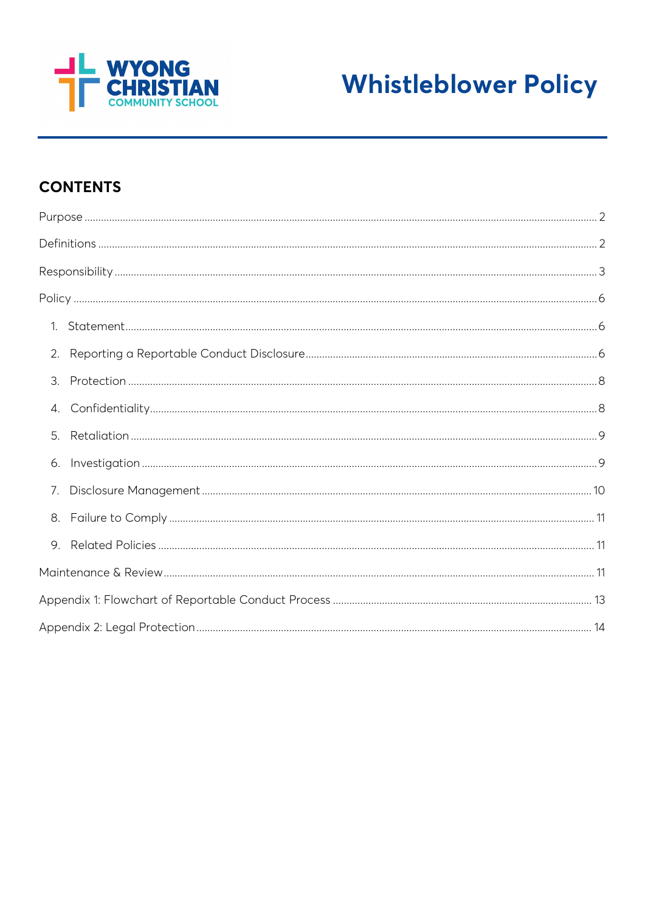



# **CONTENTS**

| 2. |  |  |
|----|--|--|
| 3. |  |  |
| 4. |  |  |
| 5. |  |  |
| 6. |  |  |
| 7. |  |  |
|    |  |  |
| 9. |  |  |
|    |  |  |
|    |  |  |
|    |  |  |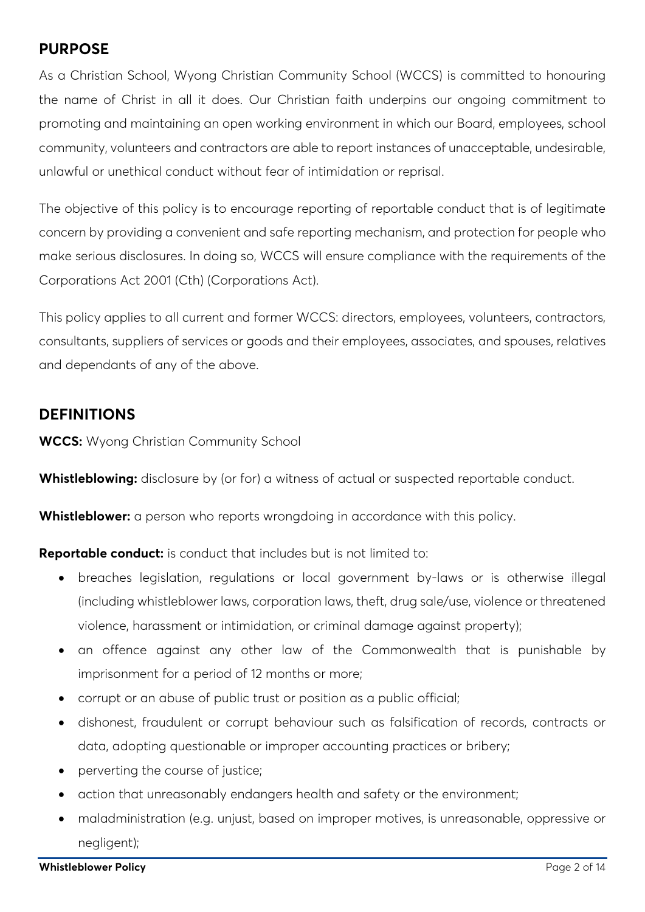## <span id="page-1-0"></span>**PURPOSE**

As a Christian School, Wyong Christian Community School (WCCS) is committed to honouring the name of Christ in all it does. Our Christian faith underpins our ongoing commitment to promoting and maintaining an open working environment in which our Board, employees, school community, volunteers and contractors are able to report instances of unacceptable, undesirable, unlawful or unethical conduct without fear of intimidation or reprisal.

The objective of this policy is to encourage reporting of reportable conduct that is of legitimate concern by providing a convenient and safe reporting mechanism, and protection for people who make serious disclosures. In doing so, WCCS will ensure compliance with the requirements of the Corporations Act 2001 (Cth) (Corporations Act).

This policy applies to all current and former WCCS: directors, employees, volunteers, contractors, consultants, suppliers of services or goods and their employees, associates, and spouses, relatives and dependants of any of the above.

## <span id="page-1-1"></span>**DEFINITIONS**

**WCCS:** Wyong Christian Community School

**Whistleblowing:** disclosure by (or for) a witness of actual or suspected reportable conduct.

**Whistleblower:** a person who reports wrongdoing in accordance with this policy.

**Reportable conduct:** is conduct that includes but is not limited to:

- breaches legislation, regulations or local government by-laws or is otherwise illegal (including whistleblower laws, corporation laws, theft, drug sale/use, violence or threatened violence, harassment or intimidation, or criminal damage against property);
- an offence against any other law of the Commonwealth that is punishable by imprisonment for a period of 12 months or more;
- corrupt or an abuse of public trust or position as a public official;
- dishonest, fraudulent or corrupt behaviour such as falsification of records, contracts or data, adopting questionable or improper accounting practices or bribery;
- perverting the course of justice;
- action that unreasonably endangers health and safety or the environment;
- maladministration (e.g. unjust, based on improper motives, is unreasonable, oppressive or negligent);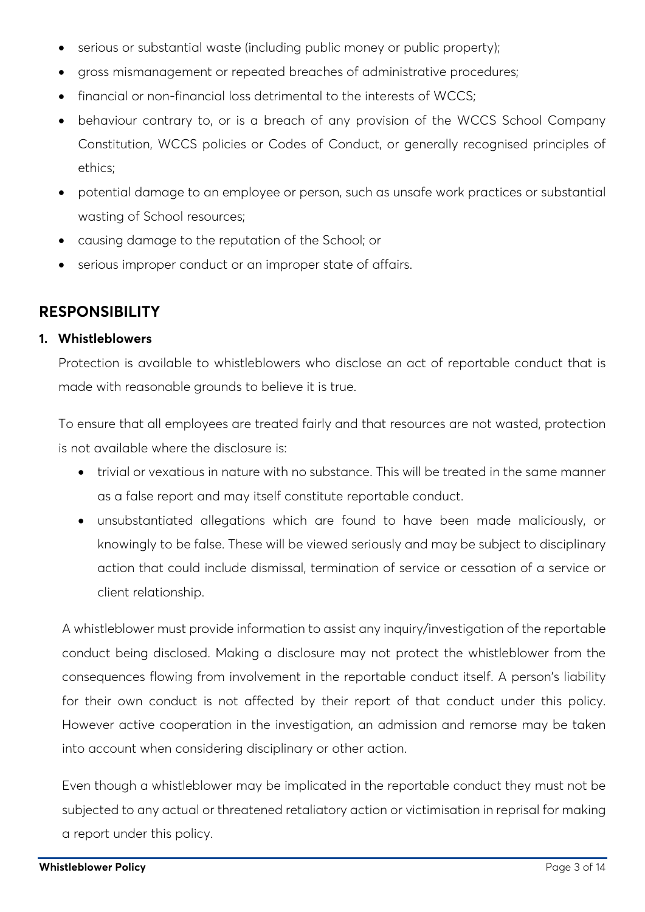- serious or substantial waste (including public money or public property);
- gross mismanagement or repeated breaches of administrative procedures;
- financial or non-financial loss detrimental to the interests of WCCS;
- behaviour contrary to, or is a breach of any provision of the WCCS School Company Constitution, WCCS policies or Codes of Conduct, or generally recognised principles of ethics;
- potential damage to an employee or person, such as unsafe work practices or substantial wasting of School resources;
- causing damage to the reputation of the School; or
- serious improper conduct or an improper state of affairs.

## <span id="page-2-0"></span>**RESPONSIBILITY**

### **1. Whistleblowers**

Protection is available to whistleblowers who disclose an act of reportable conduct that is made with reasonable grounds to believe it is true.

To ensure that all employees are treated fairly and that resources are not wasted, protection is not available where the disclosure is:

- trivial or vexatious in nature with no substance. This will be treated in the same manner as a false report and may itself constitute reportable conduct.
- unsubstantiated allegations which are found to have been made maliciously, or knowingly to be false. These will be viewed seriously and may be subject to disciplinary action that could include dismissal, termination of service or cessation of a service or client relationship.

A whistleblower must provide information to assist any inquiry/investigation of the reportable conduct being disclosed. Making a disclosure may not protect the whistleblower from the consequences flowing from involvement in the reportable conduct itself. A person's liability for their own conduct is not affected by their report of that conduct under this policy. However active cooperation in the investigation, an admission and remorse may be taken into account when considering disciplinary or other action.

Even though a whistleblower may be implicated in the reportable conduct they must not be subjected to any actual or threatened retaliatory action or victimisation in reprisal for making a report under this policy.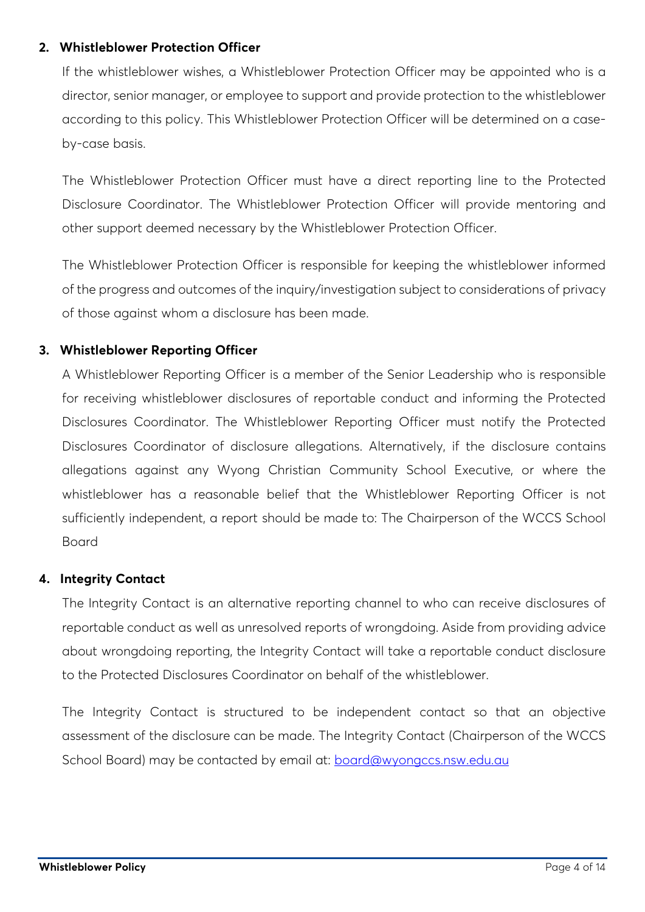### **2. Whistleblower Protection Officer**

If the whistleblower wishes, a Whistleblower Protection Officer may be appointed who is a director, senior manager, or employee to support and provide protection to the whistleblower according to this policy. This Whistleblower Protection Officer will be determined on a caseby-case basis.

The Whistleblower Protection Officer must have a direct reporting line to the Protected Disclosure Coordinator. The Whistleblower Protection Officer will provide mentoring and other support deemed necessary by the Whistleblower Protection Officer.

The Whistleblower Protection Officer is responsible for keeping the whistleblower informed of the progress and outcomes of the inquiry/investigation subject to considerations of privacy of those against whom a disclosure has been made.

### **3. Whistleblower Reporting Officer**

A Whistleblower Reporting Officer is a member of the Senior Leadership who is responsible for receiving whistleblower disclosures of reportable conduct and informing the Protected Disclosures Coordinator. The Whistleblower Reporting Officer must notify the Protected Disclosures Coordinator of disclosure allegations. Alternatively, if the disclosure contains allegations against any Wyong Christian Community School Executive, or where the whistleblower has a reasonable belief that the Whistleblower Reporting Officer is not sufficiently independent, a report should be made to: The Chairperson of the WCCS School Board

### **4. Integrity Contact**

The Integrity Contact is an alternative reporting channel to who can receive disclosures of reportable conduct as well as unresolved reports of wrongdoing. Aside from providing advice about wrongdoing reporting, the Integrity Contact will take a reportable conduct disclosure to the Protected Disclosures Coordinator on behalf of the whistleblower.

The Integrity Contact is structured to be independent contact so that an objective assessment of the disclosure can be made. The Integrity Contact (Chairperson of the WCCS School Board) may be contacted by email at: [board@wyongccs.nsw.edu.au](mailto:board@wyongccs.nsw.edu.au)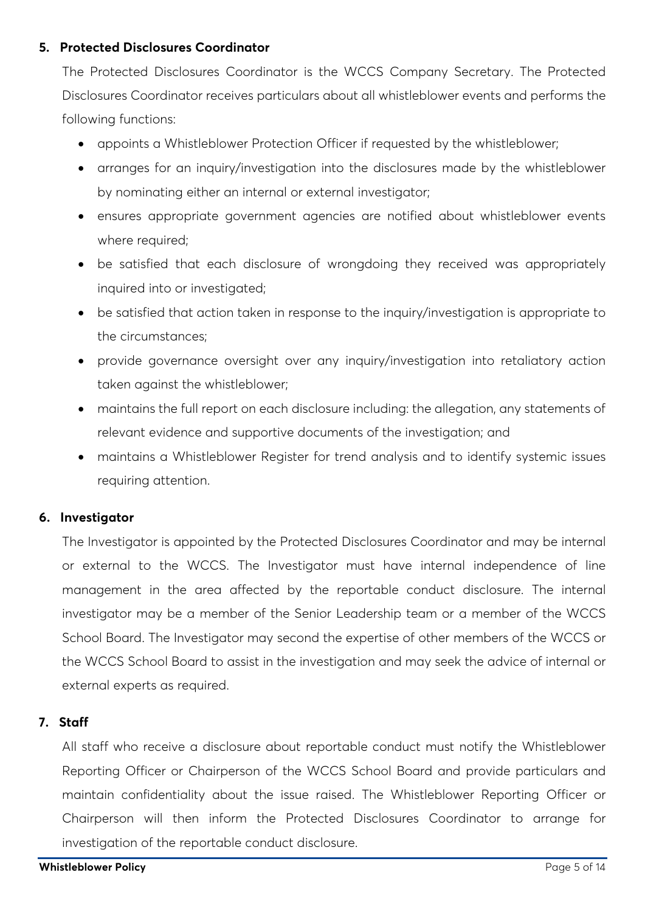### **5. Protected Disclosures Coordinator**

The Protected Disclosures Coordinator is the WCCS Company Secretary. The Protected Disclosures Coordinator receives particulars about all whistleblower events and performs the following functions:

- appoints a Whistleblower Protection Officer if requested by the whistleblower;
- arranges for an inquiry/investigation into the disclosures made by the whistleblower by nominating either an internal or external investigator;
- ensures appropriate government agencies are notified about whistleblower events where required;
- be satisfied that each disclosure of wrongdoing they received was appropriately inquired into or investigated;
- be satisfied that action taken in response to the inquiry/investigation is appropriate to the circumstances;
- provide governance oversight over any inquiry/investigation into retaliatory action taken against the whistleblower;
- maintains the full report on each disclosure including: the allegation, any statements of relevant evidence and supportive documents of the investigation; and
- maintains a Whistleblower Register for trend analysis and to identify systemic issues requiring attention.

### **6. Investigator**

The Investigator is appointed by the Protected Disclosures Coordinator and may be internal or external to the WCCS. The Investigator must have internal independence of line management in the area affected by the reportable conduct disclosure. The internal investigator may be a member of the Senior Leadership team or a member of the WCCS School Board. The Investigator may second the expertise of other members of the WCCS or the WCCS School Board to assist in the investigation and may seek the advice of internal or external experts as required.

### **7. Staff**

All staff who receive a disclosure about reportable conduct must notify the Whistleblower Reporting Officer or Chairperson of the WCCS School Board and provide particulars and maintain confidentiality about the issue raised. The Whistleblower Reporting Officer or Chairperson will then inform the Protected Disclosures Coordinator to arrange for investigation of the reportable conduct disclosure.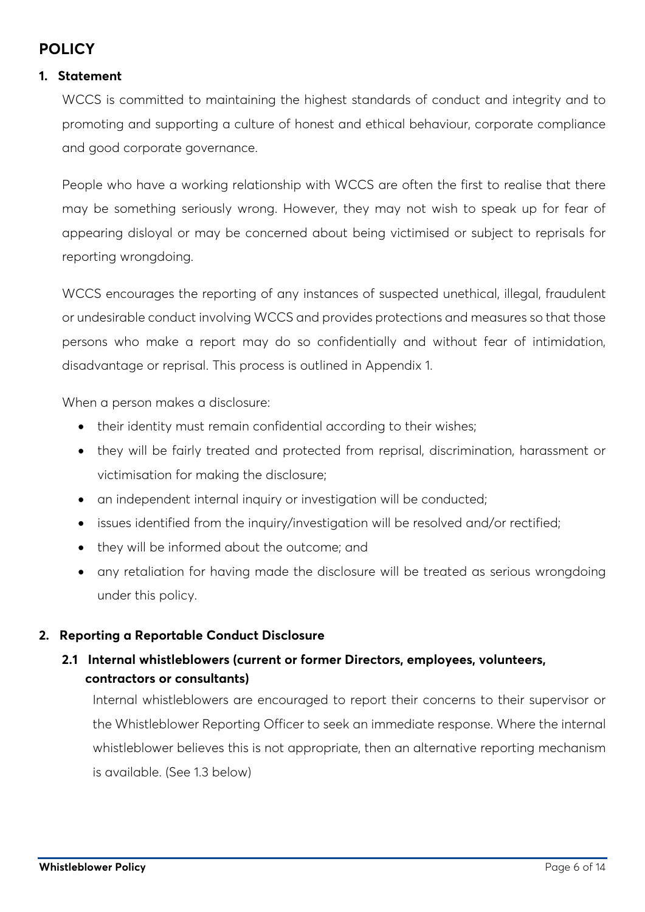## <span id="page-5-0"></span>**POLICY**

### <span id="page-5-1"></span>**1. Statement**

WCCS is committed to maintaining the highest standards of conduct and integrity and to promoting and supporting a culture of honest and ethical behaviour, corporate compliance and good corporate governance.

People who have a working relationship with WCCS are often the first to realise that there may be something seriously wrong. However, they may not wish to speak up for fear of appearing disloyal or may be concerned about being victimised or subject to reprisals for reporting wrongdoing.

WCCS encourages the reporting of any instances of suspected unethical, illegal, fraudulent or undesirable conduct involving WCCS and provides protections and measures so that those persons who make a report may do so confidentially and without fear of intimidation, disadvantage or reprisal. This process is outlined in Appendix 1.

When a person makes a disclosure:

- their identity must remain confidential according to their wishes;
- they will be fairly treated and protected from reprisal, discrimination, harassment or victimisation for making the disclosure;
- an independent internal inquiry or investigation will be conducted;
- issues identified from the inquiry/investigation will be resolved and/or rectified;
- they will be informed about the outcome; and
- any retaliation for having made the disclosure will be treated as serious wrongdoing under this policy.

### <span id="page-5-2"></span>**2. Reporting a Reportable Conduct Disclosure**

### **2.1 Internal whistleblowers (current or former Directors, employees, volunteers, contractors or consultants)**

Internal whistleblowers are encouraged to report their concerns to their supervisor or the Whistleblower Reporting Officer to seek an immediate response. Where the internal whistleblower believes this is not appropriate, then an alternative reporting mechanism is available. (See 1.3 below)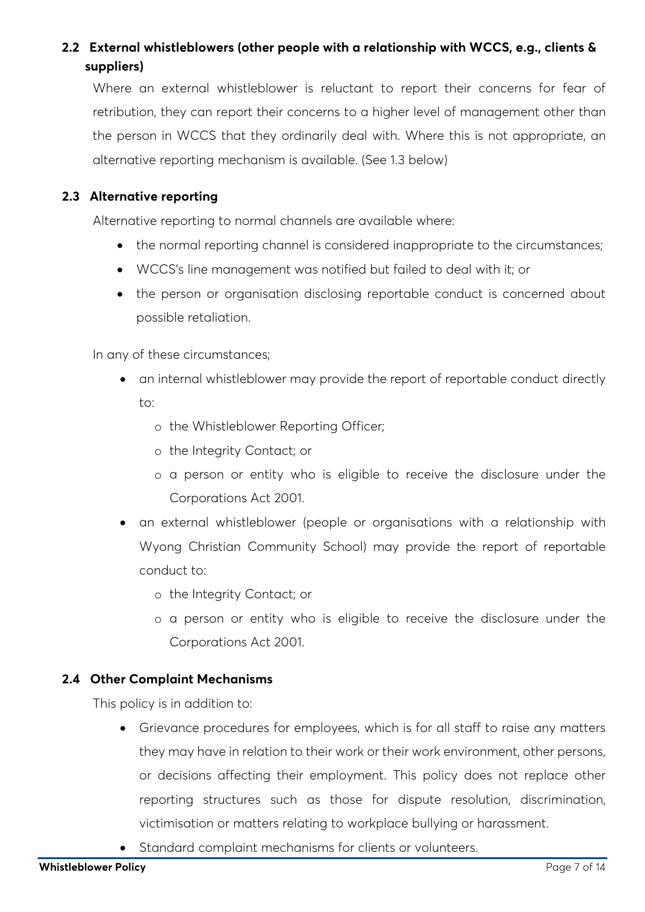### **2.2 External whistleblowers (other people with a relationship with WCCS, e.g., clients & suppliers)**

Where an external whistleblower is reluctant to report their concerns for fear of retribution, they can report their concerns to a higher level of management other than the person in WCCS that they ordinarily deal with. Where this is not appropriate, an alternative reporting mechanism is available. (See 1.3 below)

### **2.3 Alternative reporting**

Alternative reporting to normal channels are available where:

- the normal reporting channel is considered inappropriate to the circumstances;
- WCCS's line management was notified but failed to deal with it; or
- the person or organisation disclosing reportable conduct is concerned about possible retaliation.

In any of these circumstances;

- an internal whistleblower may provide the report of reportable conduct directly to:
	- o the Whistleblower Reporting Officer;
	- o the Integrity Contact; or
	- o a person or entity who is eligible to receive the disclosure under the Corporations Act 2001.
- an external whistleblower (people or organisations with a relationship with Wyong Christian Community School) may provide the report of reportable conduct to:
	- o the Integrity Contact; or
	- o a person or entity who is eligible to receive the disclosure under the Corporations Act 2001.

### **2.4 Other Complaint Mechanisms**

This policy is in addition to:

- Grievance procedures for employees, which is for all staff to raise any matters they may have in relation to their work or their work environment, other persons, or decisions affecting their employment. This policy does not replace other reporting structures such as those for dispute resolution, discrimination, victimisation or matters relating to workplace bullying or harassment.
- Standard complaint mechanisms for clients or volunteers.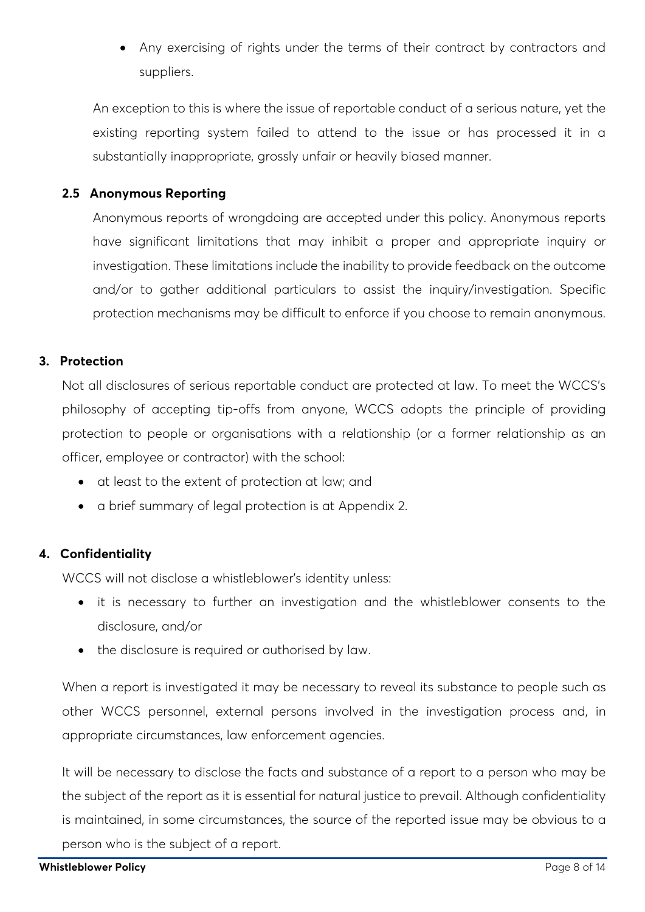• Any exercising of rights under the terms of their contract by contractors and suppliers.

An exception to this is where the issue of reportable conduct of a serious nature, yet the existing reporting system failed to attend to the issue or has processed it in a substantially inappropriate, grossly unfair or heavily biased manner.

### **2.5 Anonymous Reporting**

Anonymous reports of wrongdoing are accepted under this policy. Anonymous reports have significant limitations that may inhibit a proper and appropriate inquiry or investigation. These limitations include the inability to provide feedback on the outcome and/or to gather additional particulars to assist the inquiry/investigation. Specific protection mechanisms may be difficult to enforce if you choose to remain anonymous.

### <span id="page-7-0"></span>**3. Protection**

Not all disclosures of serious reportable conduct are protected at law. To meet the WCCS's philosophy of accepting tip-offs from anyone, WCCS adopts the principle of providing protection to people or organisations with a relationship (or a former relationship as an officer, employee or contractor) with the school:

- at least to the extent of protection at law; and
- a brief summary of legal protection is at Appendix 2.

### <span id="page-7-1"></span>**4. Confidentiality**

WCCS will not disclose a whistleblower's identity unless:

- it is necessary to further an investigation and the whistleblower consents to the disclosure, and/or
- the disclosure is required or authorised by law.

When a report is investigated it may be necessary to reveal its substance to people such as other WCCS personnel, external persons involved in the investigation process and, in appropriate circumstances, law enforcement agencies.

It will be necessary to disclose the facts and substance of a report to a person who may be the subject of the report as it is essential for natural justice to prevail. Although confidentiality is maintained, in some circumstances, the source of the reported issue may be obvious to a person who is the subject of a report.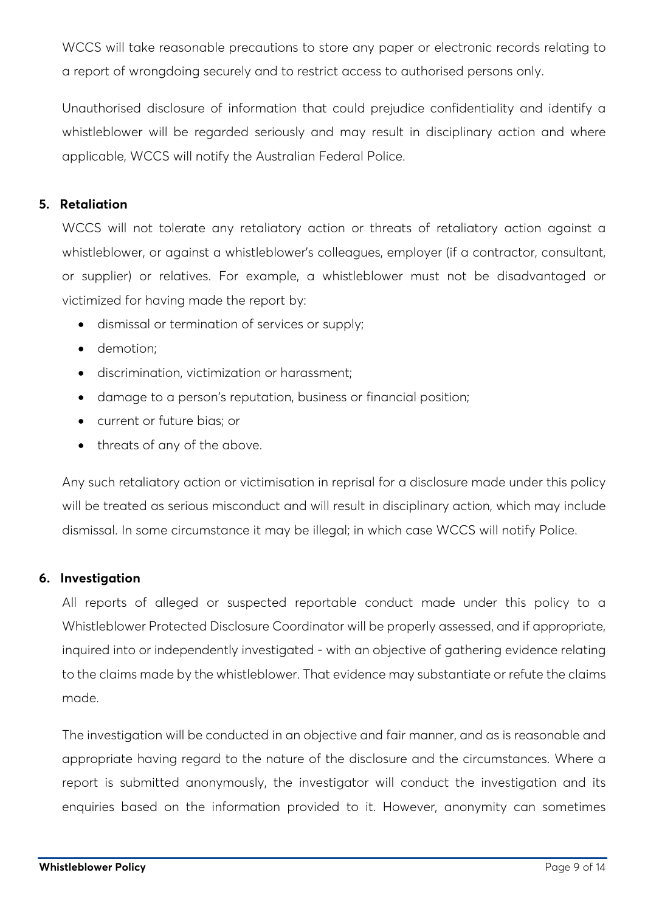WCCS will take reasonable precautions to store any paper or electronic records relating to a report of wrongdoing securely and to restrict access to authorised persons only.

Unauthorised disclosure of information that could prejudice confidentiality and identify a whistleblower will be regarded seriously and may result in disciplinary action and where applicable, WCCS will notify the Australian Federal Police.

### <span id="page-8-0"></span>**5. Retaliation**

WCCS will not tolerate any retaliatory action or threats of retaliatory action against a whistleblower, or against a whistleblower's colleagues, employer (if a contractor, consultant, or supplier) or relatives. For example, a whistleblower must not be disadvantaged or victimized for having made the report by:

- dismissal or termination of services or supply;
- demotion;
- discrimination, victimization or harassment;
- damage to a person's reputation, business or financial position;
- current or future bias; or
- threats of any of the above.

Any such retaliatory action or victimisation in reprisal for a disclosure made under this policy will be treated as serious misconduct and will result in disciplinary action, which may include dismissal. In some circumstance it may be illegal; in which case WCCS will notify Police.

### <span id="page-8-1"></span>**6. Investigation**

All reports of alleged or suspected reportable conduct made under this policy to a Whistleblower Protected Disclosure Coordinator will be properly assessed, and if appropriate, inquired into or independently investigated - with an objective of gathering evidence relating to the claims made by the whistleblower. That evidence may substantiate or refute the claims made.

The investigation will be conducted in an objective and fair manner, and as is reasonable and appropriate having regard to the nature of the disclosure and the circumstances. Where a report is submitted anonymously, the investigator will conduct the investigation and its enquiries based on the information provided to it. However, anonymity can sometimes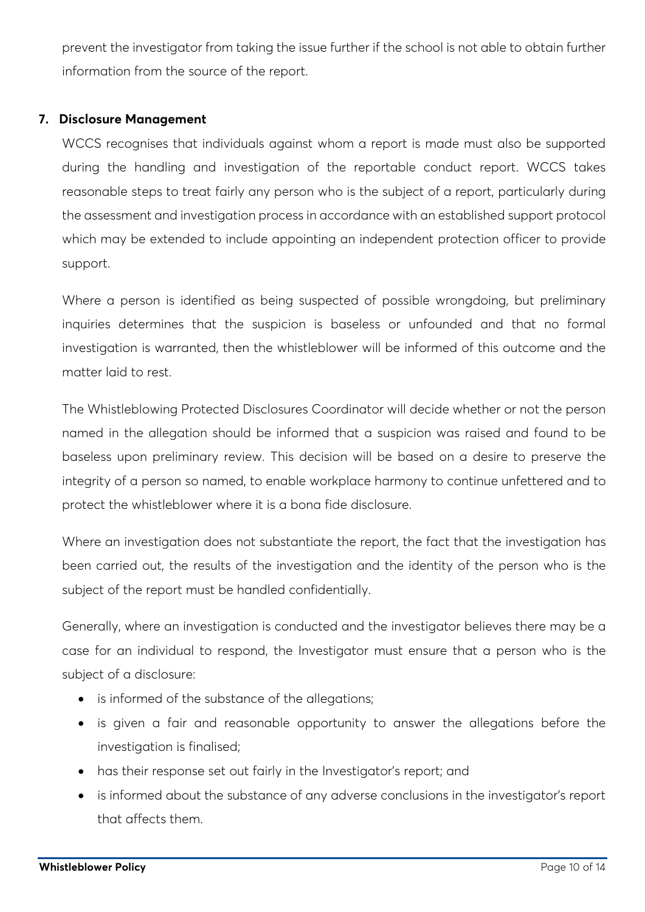prevent the investigator from taking the issue further if the school is not able to obtain further information from the source of the report.

### <span id="page-9-0"></span>**7. Disclosure Management**

WCCS recognises that individuals against whom a report is made must also be supported during the handling and investigation of the reportable conduct report. WCCS takes reasonable steps to treat fairly any person who is the subject of a report, particularly during the assessment and investigation process in accordance with an established support protocol which may be extended to include appointing an independent protection officer to provide support.

Where a person is identified as being suspected of possible wrongdoing, but preliminary inquiries determines that the suspicion is baseless or unfounded and that no formal investigation is warranted, then the whistleblower will be informed of this outcome and the matter laid to rest.

The Whistleblowing Protected Disclosures Coordinator will decide whether or not the person named in the allegation should be informed that a suspicion was raised and found to be baseless upon preliminary review. This decision will be based on a desire to preserve the integrity of a person so named, to enable workplace harmony to continue unfettered and to protect the whistleblower where it is a bona fide disclosure.

Where an investigation does not substantiate the report, the fact that the investigation has been carried out, the results of the investigation and the identity of the person who is the subject of the report must be handled confidentially.

Generally, where an investigation is conducted and the investigator believes there may be a case for an individual to respond, the Investigator must ensure that a person who is the subject of a disclosure:

- is informed of the substance of the allegations;
- is given a fair and reasonable opportunity to answer the allegations before the investigation is finalised;
- has their response set out fairly in the Investigator's report; and
- is informed about the substance of any adverse conclusions in the investigator's report that affects them.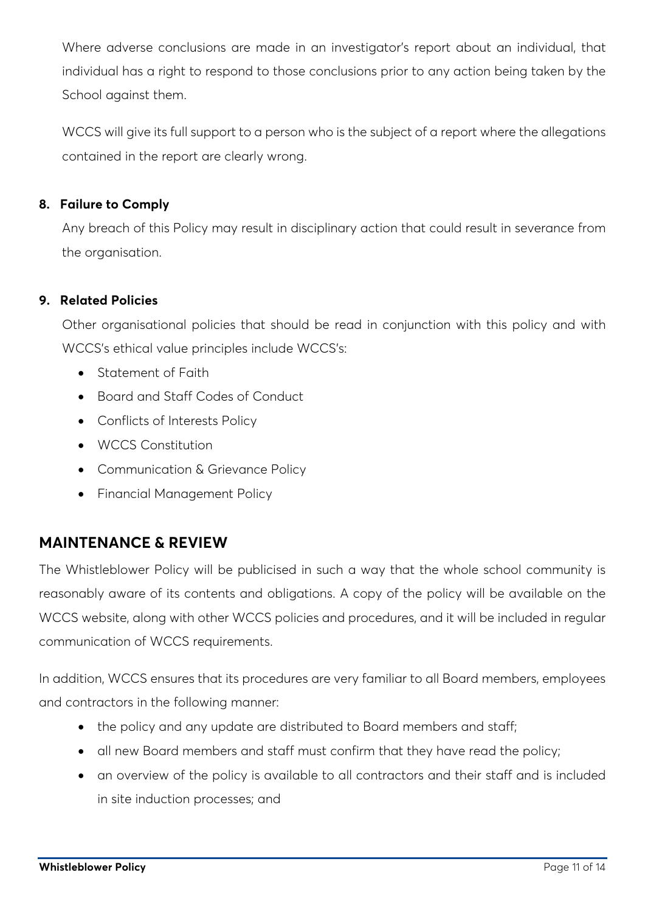Where adverse conclusions are made in an investigator's report about an individual, that individual has a right to respond to those conclusions prior to any action being taken by the School against them.

WCCS will give its full support to a person who is the subject of a report where the allegations contained in the report are clearly wrong.

### <span id="page-10-0"></span>**8. Failure to Comply**

Any breach of this Policy may result in disciplinary action that could result in severance from the organisation.

### <span id="page-10-1"></span>**9. Related Policies**

Other organisational policies that should be read in conjunction with this policy and with WCCS's ethical value principles include WCCS's:

- Statement of Faith
- Board and Staff Codes of Conduct
- Conflicts of Interests Policy
- WCCS Constitution
- Communication & Grievance Policy
- Financial Management Policy

### <span id="page-10-2"></span>**MAINTENANCE & REVIEW**

The Whistleblower Policy will be publicised in such a way that the whole school community is reasonably aware of its contents and obligations. A copy of the policy will be available on the WCCS website, along with other WCCS policies and procedures, and it will be included in regular communication of WCCS requirements.

In addition, WCCS ensures that its procedures are very familiar to all Board members, employees and contractors in the following manner:

- the policy and any update are distributed to Board members and staff;
- all new Board members and staff must confirm that they have read the policy;
- an overview of the policy is available to all contractors and their staff and is included in site induction processes; and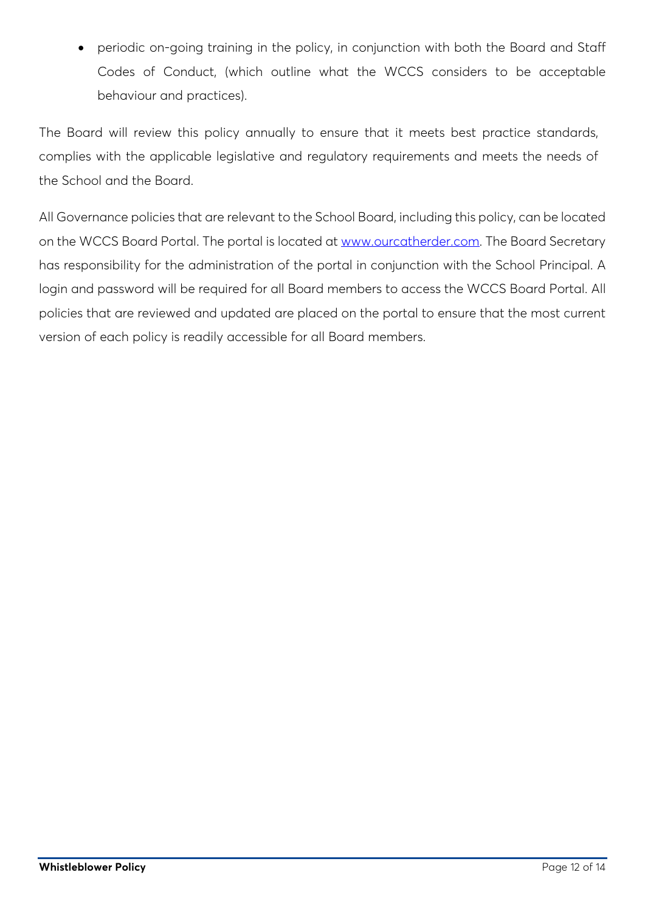• periodic on-going training in the policy, in conjunction with both the Board and Staff Codes of Conduct, (which outline what the WCCS considers to be acceptable behaviour and practices).

The Board will review this policy annually to ensure that it meets best practice standards, complies with the applicable legislative and regulatory requirements and meets the needs of the School and the Board.

All Governance policies that are relevant to the School Board, including this policy, can be located on the WCCS Board Portal. The portal is located at [www.ourcatherder.com.](http://www.ourcatherder.com/) The Board Secretary has responsibility for the administration of the portal in conjunction with the School Principal. A login and password will be required for all Board members to access the WCCS Board Portal. All policies that are reviewed and updated are placed on the portal to ensure that the most current version of each policy is readily accessible for all Board members.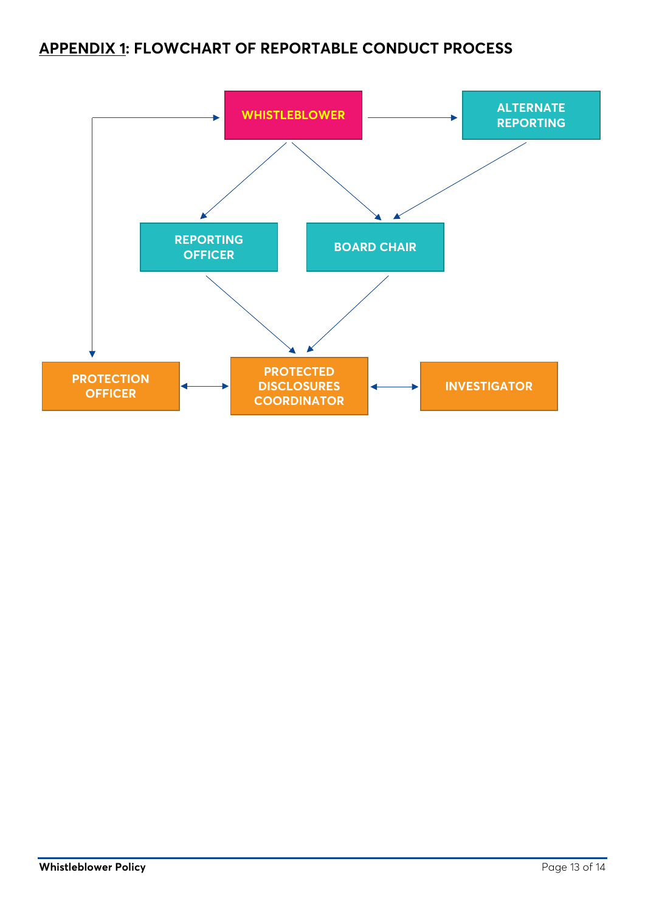## <span id="page-12-0"></span>**APPENDIX 1: FLOWCHART OF REPORTABLE CONDUCT PROCESS**